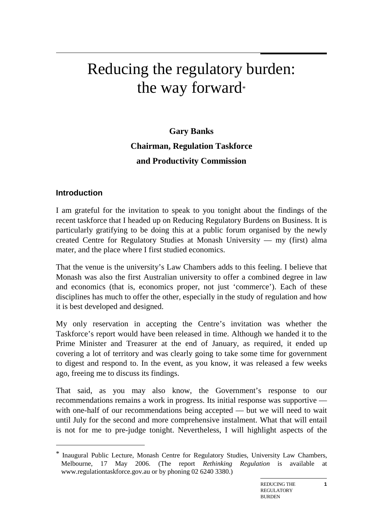# Reducing the regulatory burden: the way forward\*

# **Gary Banks Chairman, Regulation Taskforce and Productivity Commission**

### **Introduction**

1

I am grateful for the invitation to speak to you tonight about the findings of the recent taskforce that I headed up on Reducing Regulatory Burdens on Business. It is particularly gratifying to be doing this at a public forum organised by the newly created Centre for Regulatory Studies at Monash University — my (first) alma mater, and the place where I first studied economics.

That the venue is the university's Law Chambers adds to this feeling. I believe that Monash was also the first Australian university to offer a combined degree in law and economics (that is, economics proper, not just 'commerce'). Each of these disciplines has much to offer the other, especially in the study of regulation and how it is best developed and designed.

My only reservation in accepting the Centre's invitation was whether the Taskforce's report would have been released in time. Although we handed it to the Prime Minister and Treasurer at the end of January, as required, it ended up covering a lot of territory and was clearly going to take some time for government to digest and respond to. In the event, as you know, it was released a few weeks ago, freeing me to discuss its findings.

That said, as you may also know, the Government's response to our recommendations remains a work in progress. Its initial response was supportive with one-half of our recommendations being accepted — but we will need to wait until July for the second and more comprehensive instalment. What that will entail is not for me to pre-judge tonight. Nevertheless, I will highlight aspects of the

**1**

<sup>\*</sup> Inaugural Public Lecture, Monash Centre for Regulatory Studies, University Law Chambers, Melbourne, 17 May 2006. (The report *Rethinking Regulation* is available at www.regulationtaskforce.gov.au or by phoning 02 6240 3380.)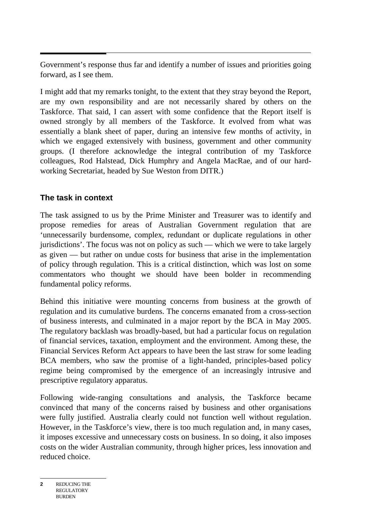Government's response thus far and identify a number of issues and priorities going forward, as I see them.

I might add that my remarks tonight, to the extent that they stray beyond the Report, are my own responsibility and are not necessarily shared by others on the Taskforce. That said, I can assert with some confidence that the Report itself is owned strongly by all members of the Taskforce. It evolved from what was essentially a blank sheet of paper, during an intensive few months of activity, in which we engaged extensively with business, government and other community groups. (I therefore acknowledge the integral contribution of my Taskforce colleagues, Rod Halstead, Dick Humphry and Angela MacRae, and of our hardworking Secretariat, headed by Sue Weston from DITR.)

### **The task in context**

The task assigned to us by the Prime Minister and Treasurer was to identify and propose remedies for areas of Australian Government regulation that are 'unnecessarily burdensome, complex, redundant or duplicate regulations in other jurisdictions'. The focus was not on policy as such — which we were to take largely as given — but rather on undue costs for business that arise in the implementation of policy through regulation. This is a critical distinction, which was lost on some commentators who thought we should have been bolder in recommending fundamental policy reforms.

Behind this initiative were mounting concerns from business at the growth of regulation and its cumulative burdens. The concerns emanated from a cross-section of business interests, and culminated in a major report by the BCA in May 2005. The regulatory backlash was broadly-based, but had a particular focus on regulation of financial services, taxation, employment and the environment. Among these, the Financial Services Reform Act appears to have been the last straw for some leading BCA members, who saw the promise of a light-handed, principles-based policy regime being compromised by the emergence of an increasingly intrusive and prescriptive regulatory apparatus.

Following wide-ranging consultations and analysis, the Taskforce became convinced that many of the concerns raised by business and other organisations were fully justified. Australia clearly could not function well without regulation. However, in the Taskforce's view, there is too much regulation and, in many cases, it imposes excessive and unnecessary costs on business. In so doing, it also imposes costs on the wider Australian community, through higher prices, less innovation and reduced choice.

**<sup>2</sup>** REDUCING THE REGULATORY BURDEN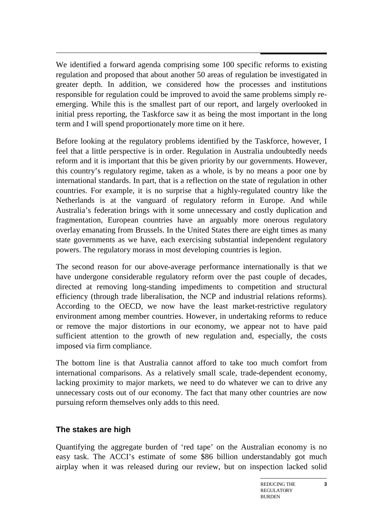$\overline{a}$ We identified a forward agenda comprising some 100 specific reforms to existing regulation and proposed that about another 50 areas of regulation be investigated in greater depth. In addition, we considered how the processes and institutions responsible for regulation could be improved to avoid the same problems simply reemerging. While this is the smallest part of our report, and largely overlooked in initial press reporting, the Taskforce saw it as being the most important in the long term and I will spend proportionately more time on it here.

Before looking at the regulatory problems identified by the Taskforce, however, I feel that a little perspective is in order. Regulation in Australia undoubtedly needs reform and it is important that this be given priority by our governments. However, this country's regulatory regime, taken as a whole, is by no means a poor one by international standards. In part, that is a reflection on the state of regulation in other countries. For example, it is no surprise that a highly-regulated country like the Netherlands is at the vanguard of regulatory reform in Europe. And while Australia's federation brings with it some unnecessary and costly duplication and fragmentation, European countries have an arguably more onerous regulatory overlay emanating from Brussels. In the United States there are eight times as many state governments as we have, each exercising substantial independent regulatory powers. The regulatory morass in most developing countries is legion.

The second reason for our above-average performance internationally is that we have undergone considerable regulatory reform over the past couple of decades, directed at removing long-standing impediments to competition and structural efficiency (through trade liberalisation, the NCP and industrial relations reforms). According to the OECD, we now have the least market-restrictive regulatory environment among member countries. However, in undertaking reforms to reduce or remove the major distortions in our economy, we appear not to have paid sufficient attention to the growth of new regulation and, especially, the costs imposed via firm compliance.

The bottom line is that Australia cannot afford to take too much comfort from international comparisons. As a relatively small scale, trade-dependent economy, lacking proximity to major markets, we need to do whatever we can to drive any unnecessary costs out of our economy. The fact that many other countries are now pursuing reform themselves only adds to this need.

#### **The stakes are high**

Quantifying the aggregate burden of 'red tape' on the Australian economy is no easy task. The ACCI's estimate of some \$86 billion understandably got much airplay when it was released during our review, but on inspection lacked solid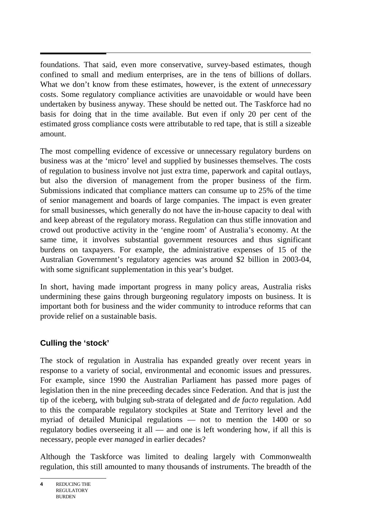$\overline{a}$ foundations. That said, even more conservative, survey-based estimates, though confined to small and medium enterprises, are in the tens of billions of dollars. What we don't know from these estimates, however, is the extent of *unnecessary* costs. Some regulatory compliance activities are unavoidable or would have been undertaken by business anyway. These should be netted out. The Taskforce had no basis for doing that in the time available. But even if only 20 per cent of the estimated gross compliance costs were attributable to red tape, that is still a sizeable amount.

The most compelling evidence of excessive or unnecessary regulatory burdens on business was at the 'micro' level and supplied by businesses themselves. The costs of regulation to business involve not just extra time, paperwork and capital outlays, but also the diversion of management from the proper business of the firm. Submissions indicated that compliance matters can consume up to 25% of the time of senior management and boards of large companies. The impact is even greater for small businesses, which generally do not have the in-house capacity to deal with and keep abreast of the regulatory morass. Regulation can thus stifle innovation and crowd out productive activity in the 'engine room' of Australia's economy. At the same time, it involves substantial government resources and thus significant burdens on taxpayers. For example, the administrative expenses of 15 of the Australian Government's regulatory agencies was around \$2 billion in 2003-04, with some significant supplementation in this year's budget.

In short, having made important progress in many policy areas, Australia risks undermining these gains through burgeoning regulatory imposts on business. It is important both for business and the wider community to introduce reforms that can provide relief on a sustainable basis.

# **Culling the 'stock'**

The stock of regulation in Australia has expanded greatly over recent years in response to a variety of social, environmental and economic issues and pressures. For example, since 1990 the Australian Parliament has passed more pages of legislation then in the nine preceeding decades since Federation. And that is just the tip of the iceberg, with bulging sub-strata of delegated and *de facto* regulation. Add to this the comparable regulatory stockpiles at State and Territory level and the myriad of detailed Municipal regulations — not to mention the 1400 or so regulatory bodies overseeing it all — and one is left wondering how, if all this is necessary, people ever *managed* in earlier decades?

Although the Taskforce was limited to dealing largely with Commonwealth regulation, this still amounted to many thousands of instruments. The breadth of the

**<sup>4</sup>** REDUCING THE REGULATORY BURDEN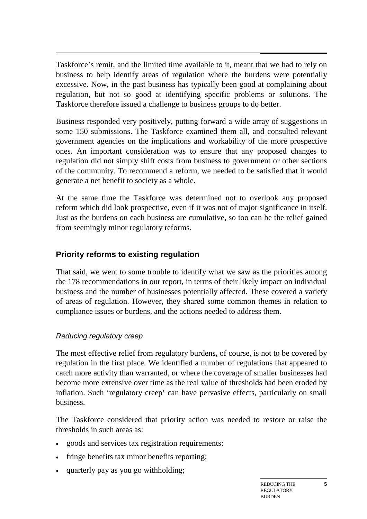$\overline{a}$ Taskforce's remit, and the limited time available to it, meant that we had to rely on business to help identify areas of regulation where the burdens were potentially excessive. Now, in the past business has typically been good at complaining about regulation, but not so good at identifying specific problems or solutions. The Taskforce therefore issued a challenge to business groups to do better.

Business responded very positively, putting forward a wide array of suggestions in some 150 submissions. The Taskforce examined them all, and consulted relevant government agencies on the implications and workability of the more prospective ones. An important consideration was to ensure that any proposed changes to regulation did not simply shift costs from business to government or other sections of the community. To recommend a reform, we needed to be satisfied that it would generate a net benefit to society as a whole.

At the same time the Taskforce was determined not to overlook any proposed reform which did look prospective, even if it was not of major significance in itself. Just as the burdens on each business are cumulative, so too can be the relief gained from seemingly minor regulatory reforms.

### **Priority reforms to existing regulation**

That said, we went to some trouble to identify what we saw as the priorities among the 178 recommendations in our report, in terms of their likely impact on individual business and the number of businesses potentially affected. These covered a variety of areas of regulation. However, they shared some common themes in relation to compliance issues or burdens, and the actions needed to address them.

#### *Reducing regulatory creep*

The most effective relief from regulatory burdens, of course, is not to be covered by regulation in the first place. We identified a number of regulations that appeared to catch more activity than warranted, or where the coverage of smaller businesses had become more extensive over time as the real value of thresholds had been eroded by inflation. Such 'regulatory creep' can have pervasive effects, particularly on small business.

The Taskforce considered that priority action was needed to restore or raise the thresholds in such areas as:

- goods and services tax registration requirements;
- fringe benefits tax minor benefits reporting;
- quarterly pay as you go withholding;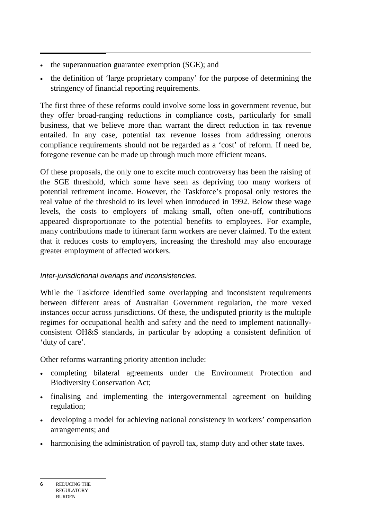- the superannuation guarantee exemption (SGE); and
- the definition of 'large proprietary company' for the purpose of determining the stringency of financial reporting requirements.

The first three of these reforms could involve some loss in government revenue, but they offer broad-ranging reductions in compliance costs, particularly for small business, that we believe more than warrant the direct reduction in tax revenue entailed. In any case, potential tax revenue losses from addressing onerous compliance requirements should not be regarded as a 'cost' of reform. If need be, foregone revenue can be made up through much more efficient means.

Of these proposals, the only one to excite much controversy has been the raising of the SGE threshold, which some have seen as depriving too many workers of potential retirement income. However, the Taskforce's proposal only restores the real value of the threshold to its level when introduced in 1992. Below these wage levels, the costs to employers of making small, often one-off, contributions appeared disproportionate to the potential benefits to employees. For example, many contributions made to itinerant farm workers are never claimed. To the extent that it reduces costs to employers, increasing the threshold may also encourage greater employment of affected workers.

# *Inter-jurisdictional overlaps and inconsistencies.*

While the Taskforce identified some overlapping and inconsistent requirements between different areas of Australian Government regulation, the more vexed instances occur across jurisdictions. Of these, the undisputed priority is the multiple regimes for occupational health and safety and the need to implement nationallyconsistent OH&S standards, in particular by adopting a consistent definition of 'duty of care'.

Other reforms warranting priority attention include:

- completing bilateral agreements under the Environment Protection and Biodiversity Conservation Act;
- finalising and implementing the intergovernmental agreement on building regulation;
- developing a model for achieving national consistency in workers' compensation arrangements; and
- harmonising the administration of payroll tax, stamp duty and other state taxes.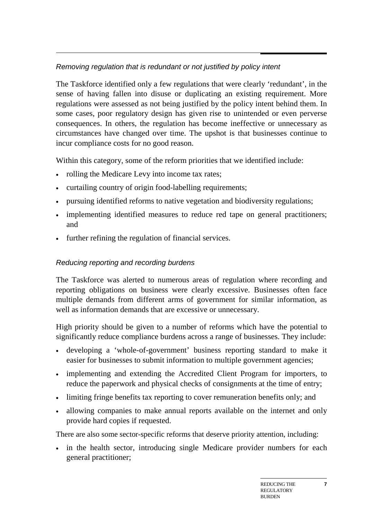# *Removing regulation that is redundant or not justified by policy intent*

The Taskforce identified only a few regulations that were clearly 'redundant', in the sense of having fallen into disuse or duplicating an existing requirement. More regulations were assessed as not being justified by the policy intent behind them. In some cases, poor regulatory design has given rise to unintended or even perverse consequences. In others, the regulation has become ineffective or unnecessary as circumstances have changed over time. The upshot is that businesses continue to incur compliance costs for no good reason.

Within this category, some of the reform priorities that we identified include:

- rolling the Medicare Levy into income tax rates;
- curtailing country of origin food-labelling requirements;
- pursuing identified reforms to native vegetation and biodiversity regulations;
- implementing identified measures to reduce red tape on general practitioners; and
- further refining the regulation of financial services.

# *Reducing reporting and recording burdens*

The Taskforce was alerted to numerous areas of regulation where recording and reporting obligations on business were clearly excessive. Businesses often face multiple demands from different arms of government for similar information, as well as information demands that are excessive or unnecessary.

High priority should be given to a number of reforms which have the potential to significantly reduce compliance burdens across a range of businesses. They include:

- developing a 'whole-of-government' business reporting standard to make it easier for businesses to submit information to multiple government agencies;
- implementing and extending the Accredited Client Program for importers, to reduce the paperwork and physical checks of consignments at the time of entry;
- limiting fringe benefits tax reporting to cover remuneration benefits only; and
- allowing companies to make annual reports available on the internet and only provide hard copies if requested.

There are also some sector-specific reforms that deserve priority attention, including:

in the health sector, introducing single Medicare provider numbers for each general practitioner;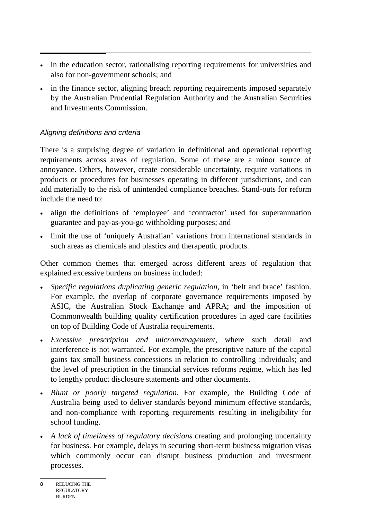- in the education sector, rationalising reporting requirements for universities and also for non-government schools; and
- in the finance sector, aligning breach reporting requirements imposed separately by the Australian Prudential Regulation Authority and the Australian Securities and Investments Commission.

#### *Aligning definitions and criteria*

There is a surprising degree of variation in definitional and operational reporting requirements across areas of regulation. Some of these are a minor source of annoyance. Others, however, create considerable uncertainty, require variations in products or procedures for businesses operating in different jurisdictions, and can add materially to the risk of unintended compliance breaches. Stand-outs for reform include the need to:

- align the definitions of 'employee' and 'contractor' used for superannuation guarantee and pay-as-you-go withholding purposes; and
- limit the use of 'uniquely Australian' variations from international standards in such areas as chemicals and plastics and therapeutic products.

Other common themes that emerged across different areas of regulation that explained excessive burdens on business included:

- *Specific regulations duplicating generic regulation*, in 'belt and brace' fashion. For example, the overlap of corporate governance requirements imposed by ASIC, the Australian Stock Exchange and APRA; and the imposition of Commonwealth building quality certification procedures in aged care facilities on top of Building Code of Australia requirements.
- *Excessive prescription and micromanagement*, where such detail and interference is not warranted. For example, the prescriptive nature of the capital gains tax small business concessions in relation to controlling individuals; and the level of prescription in the financial services reforms regime, which has led to lengthy product disclosure statements and other documents.
- *Blunt or poorly targeted regulation*. For example, the Building Code of Australia being used to deliver standards beyond minimum effective standards, and non-compliance with reporting requirements resulting in ineligibility for school funding.
- *A lack of timeliness of regulatory decisions* creating and prolonging uncertainty for business. For example, delays in securing short-term business migration visas which commonly occur can disrupt business production and investment processes.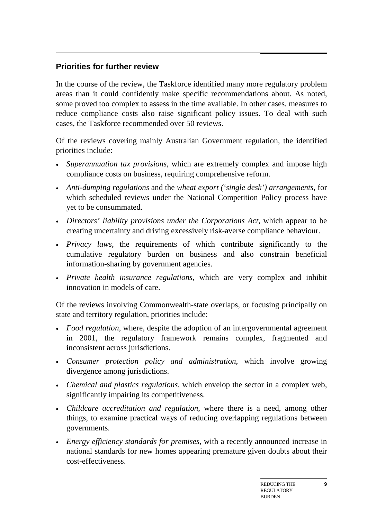# **Priorities for further review**

In the course of the review, the Taskforce identified many more regulatory problem areas than it could confidently make specific recommendations about. As noted, some proved too complex to assess in the time available. In other cases, measures to reduce compliance costs also raise significant policy issues. To deal with such cases, the Taskforce recommended over 50 reviews.

Of the reviews covering mainly Australian Government regulation, the identified priorities include:

- *Superannuation tax provisions*, which are extremely complex and impose high compliance costs on business, requiring comprehensive reform.
- *Anti-dumping regulations* and the *wheat export ('single desk') arrangements*, for which scheduled reviews under the National Competition Policy process have yet to be consummated.
- *Directors' liability provisions under the Corporations Act*, which appear to be creating uncertainty and driving excessively risk-averse compliance behaviour.
- *Privacy laws*, the requirements of which contribute significantly to the cumulative regulatory burden on business and also constrain beneficial information-sharing by government agencies.
- *Private health insurance regulations*, which are very complex and inhibit innovation in models of care.

Of the reviews involving Commonwealth-state overlaps, or focusing principally on state and territory regulation, priorities include:

- *Food regulation*, where, despite the adoption of an intergovernmental agreement in 2001, the regulatory framework remains complex, fragmented and inconsistent across jurisdictions.
- *Consumer protection policy and administration*, which involve growing divergence among jurisdictions.
- *Chemical and plastics regulations,* which envelop the sector in a complex web, significantly impairing its competitiveness.
- *Childcare accreditation and regulation*, where there is a need, among other things, to examine practical ways of reducing overlapping regulations between governments.
- *Energy efficiency standards for premises,* with a recently announced increase in national standards for new homes appearing premature given doubts about their cost-effectiveness.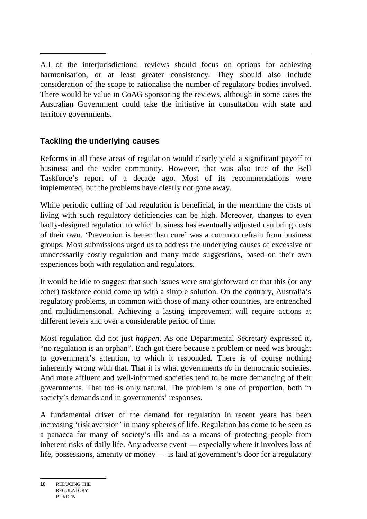All of the interjurisdictional reviews should focus on options for achieving harmonisation, or at least greater consistency. They should also include consideration of the scope to rationalise the number of regulatory bodies involved. There would be value in CoAG sponsoring the reviews, although in some cases the Australian Government could take the initiative in consultation with state and territory governments.

# **Tackling the underlying causes**

Reforms in all these areas of regulation would clearly yield a significant payoff to business and the wider community. However, that was also true of the Bell Taskforce's report of a decade ago. Most of its recommendations were implemented, but the problems have clearly not gone away.

While periodic culling of bad regulation is beneficial, in the meantime the costs of living with such regulatory deficiencies can be high. Moreover, changes to even badly-designed regulation to which business has eventually adjusted can bring costs of their own. 'Prevention is better than cure' was a common refrain from business groups. Most submissions urged us to address the underlying causes of excessive or unnecessarily costly regulation and many made suggestions, based on their own experiences both with regulation and regulators.

It would be idle to suggest that such issues were straightforward or that this (or any other) taskforce could come up with a simple solution. On the contrary, Australia's regulatory problems, in common with those of many other countries, are entrenched and multidimensional. Achieving a lasting improvement will require actions at different levels and over a considerable period of time.

Most regulation did not just *happen*. As one Departmental Secretary expressed it, "no regulation is an orphan". Each got there because a problem or need was brought to government's attention, to which it responded. There is of course nothing inherently wrong with that. That it is what governments *do* in democratic societies. And more affluent and well-informed societies tend to be more demanding of their governments. That too is only natural. The problem is one of proportion, both in society's demands and in governments' responses.

A fundamental driver of the demand for regulation in recent years has been increasing 'risk aversion' in many spheres of life. Regulation has come to be seen as a panacea for many of society's ills and as a means of protecting people from inherent risks of daily life. Any adverse event — especially where it involves loss of life, possessions, amenity or money — is laid at government's door for a regulatory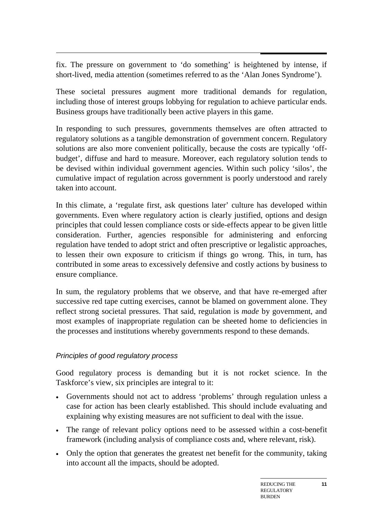$\overline{a}$ fix. The pressure on government to 'do something' is heightened by intense, if short-lived, media attention (sometimes referred to as the 'Alan Jones Syndrome').

These societal pressures augment more traditional demands for regulation, including those of interest groups lobbying for regulation to achieve particular ends. Business groups have traditionally been active players in this game.

In responding to such pressures, governments themselves are often attracted to regulatory solutions as a tangible demonstration of government concern. Regulatory solutions are also more convenient politically, because the costs are typically 'offbudget', diffuse and hard to measure. Moreover, each regulatory solution tends to be devised within individual government agencies. Within such policy 'silos', the cumulative impact of regulation across government is poorly understood and rarely taken into account.

In this climate, a 'regulate first, ask questions later' culture has developed within governments. Even where regulatory action is clearly justified, options and design principles that could lessen compliance costs or side-effects appear to be given little consideration. Further, agencies responsible for administering and enforcing regulation have tended to adopt strict and often prescriptive or legalistic approaches, to lessen their own exposure to criticism if things go wrong. This, in turn, has contributed in some areas to excessively defensive and costly actions by business to ensure compliance.

In sum, the regulatory problems that we observe, and that have re-emerged after successive red tape cutting exercises, cannot be blamed on government alone. They reflect strong societal pressures. That said, regulation is *made* by government, and most examples of inappropriate regulation can be sheeted home to deficiencies in the processes and institutions whereby governments respond to these demands.

#### *Principles of good regulatory process*

Good regulatory process is demanding but it is not rocket science. In the Taskforce's view, six principles are integral to it:

- Governments should not act to address 'problems' through regulation unless a case for action has been clearly established. This should include evaluating and explaining why existing measures are not sufficient to deal with the issue.
- The range of relevant policy options need to be assessed within a cost-benefit framework (including analysis of compliance costs and, where relevant, risk).
- Only the option that generates the greatest net benefit for the community, taking into account all the impacts, should be adopted.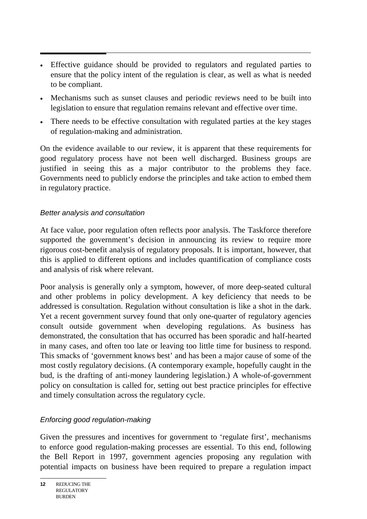- Effective guidance should be provided to regulators and regulated parties to ensure that the policy intent of the regulation is clear, as well as what is needed to be compliant.
- Mechanisms such as sunset clauses and periodic reviews need to be built into legislation to ensure that regulation remains relevant and effective over time.
- There needs to be effective consultation with regulated parties at the key stages of regulation-making and administration.

On the evidence available to our review, it is apparent that these requirements for good regulatory process have not been well discharged. Business groups are justified in seeing this as a major contributor to the problems they face. Governments need to publicly endorse the principles and take action to embed them in regulatory practice.

#### *Better analysis and consultation*

At face value, poor regulation often reflects poor analysis. The Taskforce therefore supported the government's decision in announcing its review to require more rigorous cost-benefit analysis of regulatory proposals. It is important, however, that this is applied to different options and includes quantification of compliance costs and analysis of risk where relevant.

Poor analysis is generally only a symptom, however, of more deep-seated cultural and other problems in policy development. A key deficiency that needs to be addressed is consultation. Regulation without consultation is like a shot in the dark. Yet a recent government survey found that only one-quarter of regulatory agencies consult outside government when developing regulations. As business has demonstrated, the consultation that has occurred has been sporadic and half-hearted in many cases, and often too late or leaving too little time for business to respond. This smacks of 'government knows best' and has been a major cause of some of the most costly regulatory decisions. (A contemporary example, hopefully caught in the bud, is the drafting of anti-money laundering legislation.) A whole-of-government policy on consultation is called for, setting out best practice principles for effective and timely consultation across the regulatory cycle.

#### *Enforcing good regulation-making*

Given the pressures and incentives for government to 'regulate first', mechanisms to enforce good regulation-making processes are essential. To this end, following the Bell Report in 1997, government agencies proposing any regulation with potential impacts on business have been required to prepare a regulation impact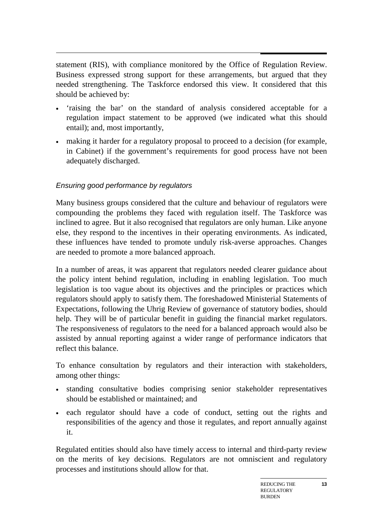statement (RIS), with compliance monitored by the Office of Regulation Review. Business expressed strong support for these arrangements, but argued that they needed strengthening. The Taskforce endorsed this view. It considered that this should be achieved by:

- 'raising the bar' on the standard of analysis considered acceptable for a regulation impact statement to be approved (we indicated what this should entail); and, most importantly,
- making it harder for a regulatory proposal to proceed to a decision (for example, in Cabinet) if the government's requirements for good process have not been adequately discharged.

# *Ensuring good performance by regulators*

Many business groups considered that the culture and behaviour of regulators were compounding the problems they faced with regulation itself. The Taskforce was inclined to agree. But it also recognised that regulators are only human. Like anyone else, they respond to the incentives in their operating environments. As indicated, these influences have tended to promote unduly risk-averse approaches. Changes are needed to promote a more balanced approach.

In a number of areas, it was apparent that regulators needed clearer guidance about the policy intent behind regulation, including in enabling legislation. Too much legislation is too vague about its objectives and the principles or practices which regulators should apply to satisfy them. The foreshadowed Ministerial Statements of Expectations, following the Uhrig Review of governance of statutory bodies, should help. They will be of particular benefit in guiding the financial market regulators. The responsiveness of regulators to the need for a balanced approach would also be assisted by annual reporting against a wider range of performance indicators that reflect this balance.

To enhance consultation by regulators and their interaction with stakeholders, among other things:

- standing consultative bodies comprising senior stakeholder representatives should be established or maintained; and
- each regulator should have a code of conduct, setting out the rights and responsibilities of the agency and those it regulates, and report annually against it.

Regulated entities should also have timely access to internal and third-party review on the merits of key decisions. Regulators are not omniscient and regulatory processes and institutions should allow for that.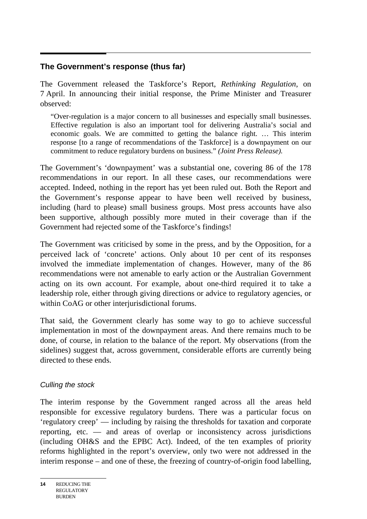#### **The Government's response (thus far)**

The Government released the Taskforce's Report, *Rethinking Regulation*, on 7 April. In announcing their initial response, the Prime Minister and Treasurer observed:

"Over-regulation is a major concern to all businesses and especially small businesses. Effective regulation is also an important tool for delivering Australia's social and economic goals. We are committed to getting the balance right. … This interim response [to a range of recommendations of the Taskforce] is a downpayment on our commitment to reduce regulatory burdens on business." *(Joint Press Release).* 

The Government's 'downpayment' was a substantial one, covering 86 of the 178 recommendations in our report. In all these cases, our recommendations were accepted. Indeed, nothing in the report has yet been ruled out. Both the Report and the Government's response appear to have been well received by business, including (hard to please) small business groups. Most press accounts have also been supportive, although possibly more muted in their coverage than if the Government had rejected some of the Taskforce's findings!

The Government was criticised by some in the press, and by the Opposition, for a perceived lack of 'concrete' actions. Only about 10 per cent of its responses involved the immediate implementation of changes. However, many of the 86 recommendations were not amenable to early action or the Australian Government acting on its own account. For example, about one-third required it to take a leadership role, either through giving directions or advice to regulatory agencies, or within CoAG or other interjurisdictional forums.

That said, the Government clearly has some way to go to achieve successful implementation in most of the downpayment areas. And there remains much to be done, of course, in relation to the balance of the report. My observations (from the sidelines) suggest that, across government, considerable efforts are currently being directed to these ends.

#### *Culling the stock*

The interim response by the Government ranged across all the areas held responsible for excessive regulatory burdens. There was a particular focus on 'regulatory creep' — including by raising the thresholds for taxation and corporate reporting, etc. — and areas of overlap or inconsistency across jurisdictions (including OH&S and the EPBC Act). Indeed, of the ten examples of priority reforms highlighted in the report's overview, only two were not addressed in the interim response – and one of these, the freezing of country-of-origin food labelling,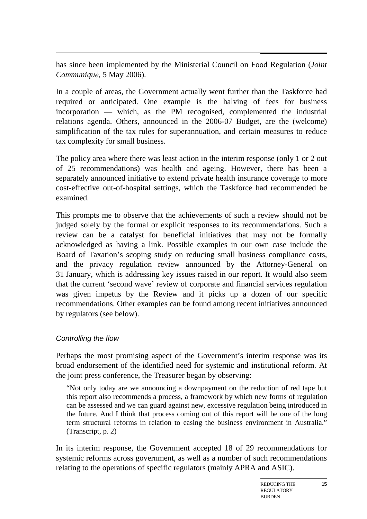$\overline{a}$ has since been implemented by the Ministerial Council on Food Regulation (*Joint Communiquẻ*, 5 May 2006).

In a couple of areas, the Government actually went further than the Taskforce had required or anticipated. One example is the halving of fees for business incorporation — which, as the PM recognised, complemented the industrial relations agenda. Others, announced in the 2006-07 Budget, are the (welcome) simplification of the tax rules for superannuation, and certain measures to reduce tax complexity for small business.

The policy area where there was least action in the interim response (only 1 or 2 out of 25 recommendations) was health and ageing. However, there has been a separately announced initiative to extend private health insurance coverage to more cost-effective out-of-hospital settings, which the Taskforce had recommended be examined.

This prompts me to observe that the achievements of such a review should not be judged solely by the formal or explicit responses to its recommendations. Such a review can be a catalyst for beneficial initiatives that may not be formally acknowledged as having a link. Possible examples in our own case include the Board of Taxation's scoping study on reducing small business compliance costs, and the privacy regulation review announced by the Attorney-General on 31 January, which is addressing key issues raised in our report. It would also seem that the current 'second wave' review of corporate and financial services regulation was given impetus by the Review and it picks up a dozen of our specific recommendations. Other examples can be found among recent initiatives announced by regulators (see below).

#### *Controlling the flow*

Perhaps the most promising aspect of the Government's interim response was its broad endorsement of the identified need for systemic and institutional reform. At the joint press conference, the Treasurer began by observing:

"Not only today are we announcing a downpayment on the reduction of red tape but this report also recommends a process, a framework by which new forms of regulation can be assessed and we can guard against new, excessive regulation being introduced in the future. And I think that process coming out of this report will be one of the long term structural reforms in relation to easing the business environment in Australia." (Transcript, p. 2)

In its interim response, the Government accepted 18 of 29 recommendations for systemic reforms across government, as well as a number of such recommendations relating to the operations of specific regulators (mainly APRA and ASIC).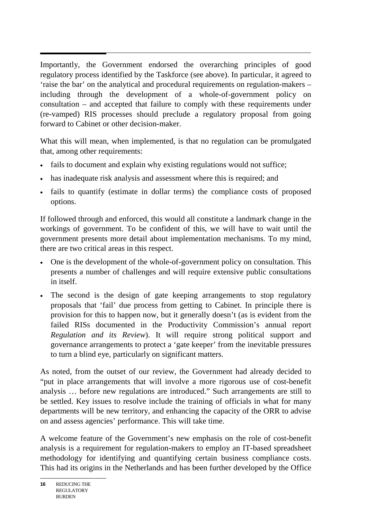$\overline{a}$ Importantly, the Government endorsed the overarching principles of good regulatory process identified by the Taskforce (see above). In particular, it agreed to 'raise the bar' on the analytical and procedural requirements on regulation-makers – including through the development of a whole-of-government policy on consultation – and accepted that failure to comply with these requirements under (re-vamped) RIS processes should preclude a regulatory proposal from going forward to Cabinet or other decision-maker.

What this will mean, when implemented, is that no regulation can be promulgated that, among other requirements:

- fails to document and explain why existing regulations would not suffice;
- has inadequate risk analysis and assessment where this is required; and
- fails to quantify (estimate in dollar terms) the compliance costs of proposed options.

If followed through and enforced, this would all constitute a landmark change in the workings of government. To be confident of this, we will have to wait until the government presents more detail about implementation mechanisms. To my mind, there are two critical areas in this respect.

- One is the development of the whole-of-government policy on consultation. This presents a number of challenges and will require extensive public consultations in itself.
- The second is the design of gate keeping arrangements to stop regulatory proposals that 'fail' due process from getting to Cabinet. In principle there is provision for this to happen now, but it generally doesn't (as is evident from the failed RISs documented in the Productivity Commission's annual report *Regulation and its Review*). It will require strong political support and governance arrangements to protect a 'gate keeper' from the inevitable pressures to turn a blind eye, particularly on significant matters.

As noted, from the outset of our review, the Government had already decided to "put in place arrangements that will involve a more rigorous use of cost-benefit analysis … before new regulations are introduced." Such arrangements are still to be settled. Key issues to resolve include the training of officials in what for many departments will be new territory, and enhancing the capacity of the ORR to advise on and assess agencies' performance. This will take time.

A welcome feature of the Government's new emphasis on the role of cost-benefit analysis is a requirement for regulation-makers to employ an IT-based spreadsheet methodology for identifying and quantifying certain business compliance costs. This had its origins in the Netherlands and has been further developed by the Office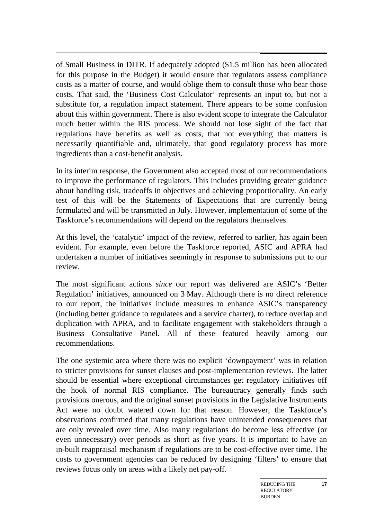of Small Business in DITR. If adequately adopted (\$1.5 million has been allocated for this purpose in the Budget) it would ensure that regulators assess compliance costs as a matter of course, and would oblige them to consult those who bear those costs. That said, the 'Business Cost Calculator' represents an input to, but not a substitute for, a regulation impact statement. There appears to be some confusion about this within government. There is also evident scope to integrate the Calculator much better within the RIS process. We should not lose sight of the fact that regulations have benefits as well as costs, that not everything that matters is necessarily quantifiable and, ultimately, that good regulatory process has more ingredients than a cost-benefit analysis.

In its interim response, the Government also accepted most of our recommendations to improve the performance of regulators. This includes providing greater guidance about handling risk, tradeoffs in objectives and achieving proportionality. An early test of this will be the Statements of Expectations that are currently being formulated and will be transmitted in July. However, implementation of some of the Taskforce's recommendations will depend on the regulators themselves.

At this level, the 'catalytic' impact of the review, referred to earlier, has again been evident. For example, even before the Taskforce reported, ASIC and APRA had undertaken a number of initiatives seemingly in response to submissions put to our review.

The most significant actions *since* our report was delivered are ASIC's 'Better Regulation' initiatives, announced on 3 May. Although there is no direct reference to our report, the initiatives include measures to enhance ASIC's transparency (including better guidance to regulatees and a service charter), to reduce overlap and duplication with APRA, and to facilitate engagement with stakeholders through a Business Consultative Panel. All of these featured heavily among our recommendations.

The one systemic area where there was no explicit 'downpayment' was in relation to stricter provisions for sunset clauses and post-implementation reviews. The latter should be essential where exceptional circumstances get regulatory initiatives off the hook of normal RIS compliance. The bureaucracy generally finds such provisions onerous, and the original sunset provisions in the Legislative Instruments Act were no doubt watered down for that reason. However, the Taskforce's observations confirmed that many regulations have unintended consequences that are only revealed over time. Also many regulations do become less effective (or even unnecessary) over periods as short as five years. It is important to have an in-built reappraisal mechanism if regulations are to be cost-effective over time. The costs to government agencies can be reduced by designing 'filters' to ensure that reviews focus only on areas with a likely net pay-off.